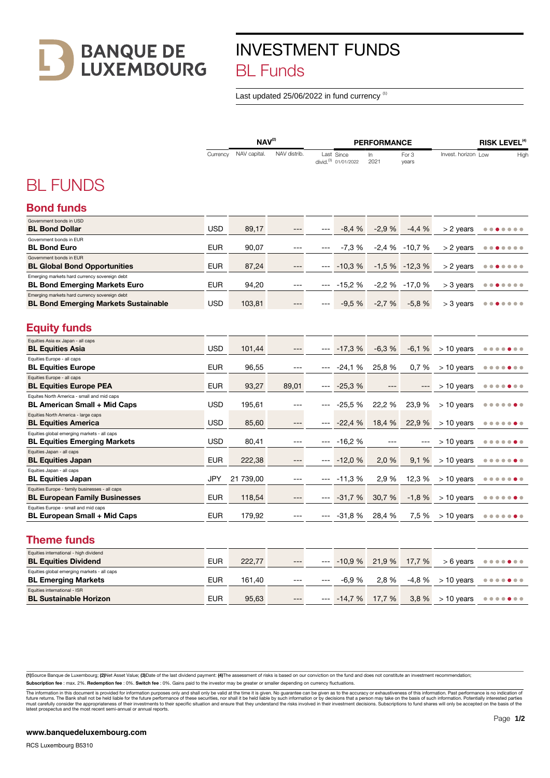**BANQUE DE<br>LUXEMBOURG** 

## INVESTMENT FUNDS BL Funds

Last updated 25/06/2022 in fund currency<sup>(1)</sup>

|                                                                                              | $NAV^{(2)}$ |              |              | <b>PERFORMANCE</b> |                                                |            |                | <b>RISK LEVEL<sup>(4)</sup></b> |                                          |  |
|----------------------------------------------------------------------------------------------|-------------|--------------|--------------|--------------------|------------------------------------------------|------------|----------------|---------------------------------|------------------------------------------|--|
|                                                                                              | Currency    | NAV capital. | NAV distrib. |                    | Last Since<br>divid. <sup>(3)</sup> 01/01/2022 | In<br>2021 | For 3<br>years | Invest. horizon Low             | High                                     |  |
| <b>BL FUNDS</b>                                                                              |             |              |              |                    |                                                |            |                |                                 |                                          |  |
| <b>Bond funds</b>                                                                            |             |              |              |                    |                                                |            |                |                                 |                                          |  |
| Government bonds in USD<br><b>BL Bond Dollar</b>                                             | <b>USD</b>  | 89,17        | ---          | $---$              | $-8,4%$                                        | $-2,9%$    | $-4,4%$        | > 2 years                       | .                                        |  |
| Government bonds in EUR<br><b>BL Bond Euro</b>                                               | <b>EUR</b>  | 90.07        | ---          |                    | $-7.3%$                                        | $-2.4%$    | $-10.7%$       | > 2 years                       | $\circ$ $\circ$<br>$\bullet$             |  |
| Government bonds in EUR<br><b>BL Global Bond Opportunities</b>                               | <b>EUR</b>  | 87,24        | ---          | $---$              | $-10.3%$                                       | $-1,5%$    | $-12.3%$       | $> 2$ years                     | .                                        |  |
| Emerging markets hard currency sovereign debt<br><b>BL Bond Emerging Markets Euro</b>        | <b>EUR</b>  | 94,20        | $---$        |                    | $-15.2%$                                       | $-2,2%$    | $-17,0%$       | $>$ 3 years                     | $\bigcirc$<br>$\circ$ $\circ$            |  |
| Emerging markets hard currency sovereign debt<br><b>BL Bond Emerging Markets Sustainable</b> | <b>USD</b>  | 103,81       | $---$        | $\sim$             | $-9,5%$                                        | $-2,7%$    | $-5,8%$        | $>$ 3 years                     |                                          |  |
| <b>Equity funds</b>                                                                          |             |              |              |                    |                                                |            |                |                                 |                                          |  |
| Equities Asia ex Japan - all caps<br><b>BL Equities Asia</b>                                 | <b>USD</b>  | 101,44       | ---          |                    | $-17,3%$                                       | $-6,3%$    | $-6,1%$        | $> 10$ years                    |                                          |  |
| Equities Europe - all caps<br><b>BL Equities Europe</b>                                      | <b>EUR</b>  | 96,55        | $---$        |                    | $-24,1%$                                       | 25,8 %     | 0,7%           | $>$ 10 years                    | $\sqrt{2}$                               |  |
| Equities Europe - all caps<br><b>BL Equities Europe PEA</b>                                  | <b>EUR</b>  | 93,27        | 89,01        | $---$              | $-25,3%$                                       |            | $---$          | $>$ 10 years                    |                                          |  |
| Equites North America - small and mid caps<br><b>BL American Small + Mid Caps</b>            | <b>USD</b>  | 195,61       | ---          | $---$              | $-25.5%$                                       | 22,2 %     | 23,9 %         | $>$ 10 years                    | $\bullet$<br>۰<br>$\bullet$<br>$\bullet$ |  |
| Equities North America - large caps<br><b>BL Equities America</b>                            | <b>USD</b>  | 85,60        | $---$        | $---$              | $-22,4%$                                       | 18,4 %     | 22,9 %         | $> 10$ years                    |                                          |  |
| Equities global emerging markets - all caps<br><b>BL Equities Emerging Markets</b>           | <b>USD</b>  | 80,41        | ---          | $---$              | $-16.2%$                                       | ---        | ---            | $> 10$ years                    | ۰<br>۰<br>۰                              |  |
| Equities Japan - all caps<br><b>BL Equities Japan</b>                                        | <b>EUR</b>  | 222,38       | ---          | $---$              | $-12,0%$                                       | 2,0 %      | 9,1%           | $>$ 10 years                    |                                          |  |
| Equities Japan - all caps<br><b>BL Equities Japan</b>                                        | JPY         | 21 739,00    | ---          | $---$              | $-11,3%$                                       | 2,9 %      | 12,3 %         | $>$ 10 years                    | $\bullet$<br>o                           |  |
| Equities Europe - family businesses - all caps<br><b>BL European Family Businesses</b>       | <b>EUR</b>  | 118,54       | ---          | $---$              | $-31,7%$                                       | 30,7 %     | $-1,8%$        | $>$ 10 years                    |                                          |  |
| Equities Europe - small and mid caps<br><b>BL European Small + Mid Caps</b>                  | <b>EUR</b>  | 179,92       | ---          | $---$              | $-31,8%$                                       | 28,4 %     | 7,5 %          | $>$ 10 years                    | .                                        |  |
| <b>Theme funds</b>                                                                           |             |              |              |                    |                                                |            |                |                                 |                                          |  |
| Equities international - high dividend<br><b>BL Equities Dividend</b>                        | <b>EUR</b>  | 222,77       | ---          | $---$              | $-10,9%$                                       | 21,9 %     | 17,7 %         | $> 6$ years                     | .                                        |  |
| Equities global emerging markets - all caps<br><b>BL Emerging Markets</b>                    | <b>EUR</b>  | 161,40       | ---          |                    | $-6.9%$                                        | 2,8 %      | $-4,8%$        | $> 10$ years                    | .                                        |  |
| Equities international - ISR<br><b>BL Sustainable Horizon</b>                                | <b>EUR</b>  | 95,63        | ---          |                    | $-- -14.7%$                                    | 17,7 %     | 3,8 %          | $> 10$ years                    |                                          |  |

(1)Source Banque de Luxembourg; (2)Net Asset Value; (3)Date of the last dividend payment: (4)The assessment of risks is based on our conviction on the fund and does not constitute an investment recommendation;

Subscription fee : max. 2%. Redemption fee : 0%. Switch fee : 0%. Gains paid to the investor may be greater or smaller depending on currency fluctuations.

The information in this document is provided for information purposes only and shall only be valid at the time it is given. No guarantee can be given as to the accuracy or exhaustiveness of this information. Past performan

-